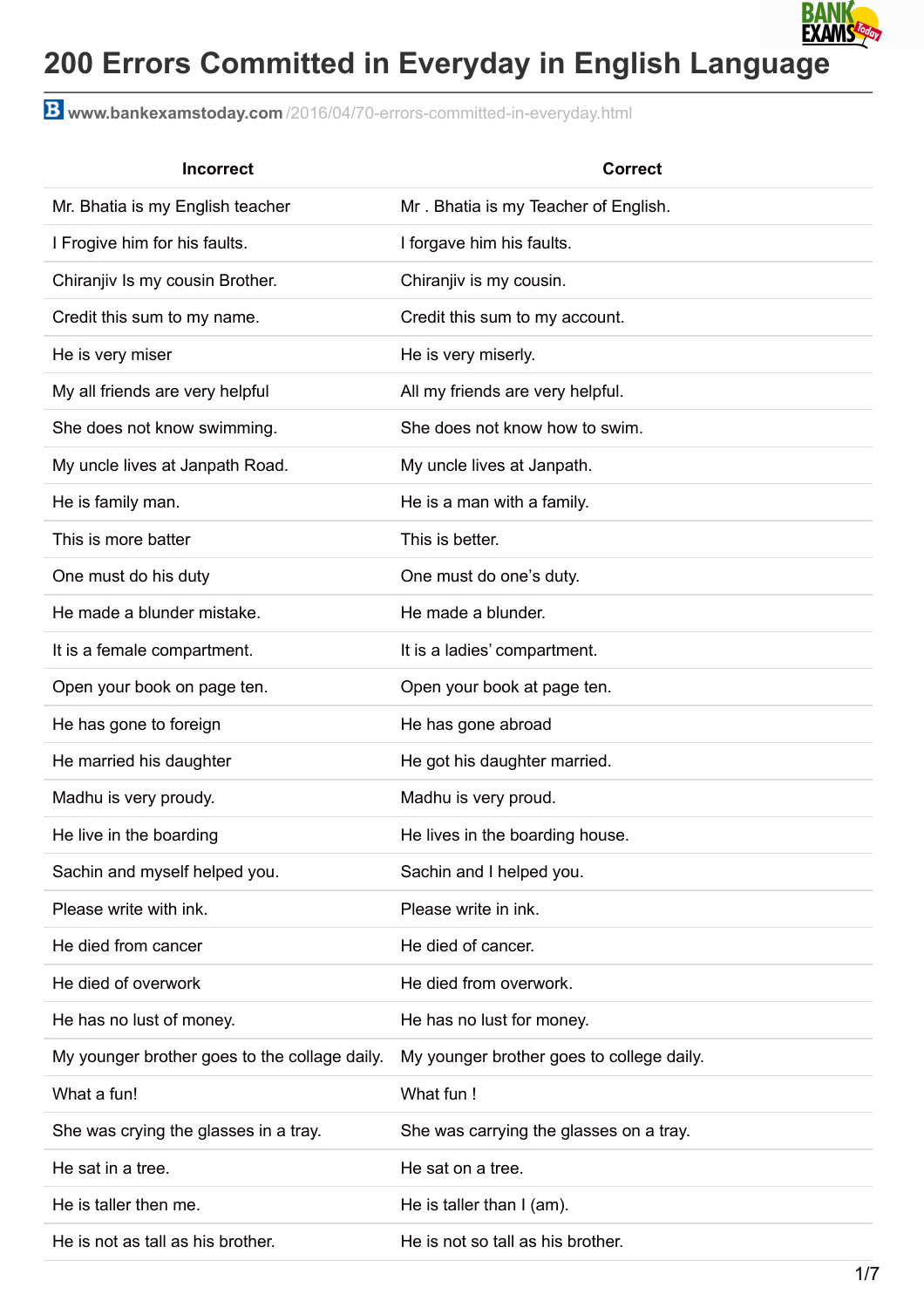

## **200 Errors Committed in Everyday in English Language**

**www.bankexamstoday.com** [/2016/04/70-errors-committed-in-everyday.html](http://www.bankexamstoday.com/2016/04/70-errors-committed-in-everyday.html)

| <b>Incorrect</b>                              | <b>Correct</b>                            |
|-----------------------------------------------|-------------------------------------------|
| Mr. Bhatia is my English teacher              | Mr. Bhatia is my Teacher of English.      |
| I Frogive him for his faults.                 | I forgave him his faults.                 |
| Chiranjiv Is my cousin Brother.               | Chiranjiv is my cousin.                   |
| Credit this sum to my name.                   | Credit this sum to my account.            |
| He is very miser                              | He is very miserly.                       |
| My all friends are very helpful               | All my friends are very helpful.          |
| She does not know swimming.                   | She does not know how to swim.            |
| My uncle lives at Janpath Road.               | My uncle lives at Janpath.                |
| He is family man.                             | He is a man with a family.                |
| This is more batter                           | This is better.                           |
| One must do his duty                          | One must do one's duty.                   |
| He made a blunder mistake.                    | He made a blunder.                        |
| It is a female compartment.                   | It is a ladies' compartment.              |
| Open your book on page ten.                   | Open your book at page ten.               |
| He has gone to foreign                        | He has gone abroad                        |
| He married his daughter                       | He got his daughter married.              |
| Madhu is very proudy.                         | Madhu is very proud.                      |
| He live in the boarding                       | He lives in the boarding house.           |
| Sachin and myself helped you.                 | Sachin and I helped you.                  |
| Please write with ink.                        | Please write in ink.                      |
| He died from cancer                           | He died of cancer.                        |
| He died of overwork                           | He died from overwork.                    |
| He has no lust of money.                      | He has no lust for money.                 |
| My younger brother goes to the collage daily. | My younger brother goes to college daily. |
| What a fun!                                   | What fun !                                |
| She was crying the glasses in a tray.         | She was carrying the glasses on a tray.   |
| He sat in a tree.                             | He sat on a tree.                         |
| He is taller then me.                         | He is taller than $I$ (am).               |
| He is not as tall as his brother.             | He is not so tall as his brother.         |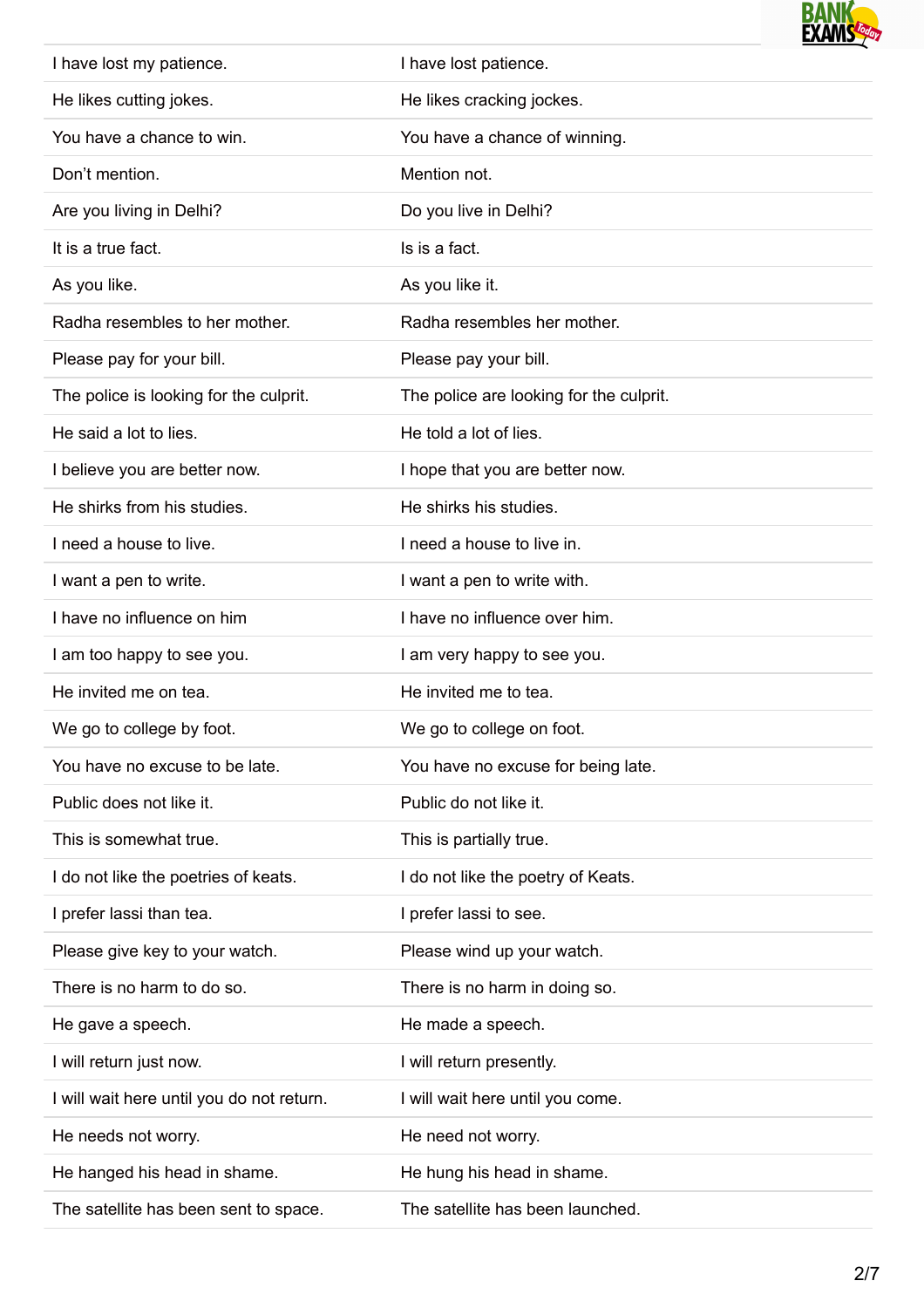

| I have lost my patience.                  | I have lost patience.                   |
|-------------------------------------------|-----------------------------------------|
| He likes cutting jokes.                   | He likes cracking jockes.               |
| You have a chance to win.                 | You have a chance of winning.           |
| Don't mention.                            | Mention not.                            |
| Are you living in Delhi?                  | Do you live in Delhi?                   |
| It is a true fact.                        | Is is a fact.                           |
| As you like.                              | As you like it.                         |
| Radha resembles to her mother.            | Radha resembles her mother.             |
| Please pay for your bill.                 | Please pay your bill.                   |
| The police is looking for the culprit.    | The police are looking for the culprit. |
| He said a lot to lies.                    | He told a lot of lies.                  |
| I believe you are better now.             | I hope that you are better now.         |
| He shirks from his studies.               | He shirks his studies.                  |
| I need a house to live.                   | I need a house to live in.              |
| I want a pen to write.                    | I want a pen to write with.             |
| I have no influence on him                | I have no influence over him.           |
| I am too happy to see you.                | I am very happy to see you.             |
|                                           |                                         |
| He invited me on tea.                     | He invited me to tea.                   |
| We go to college by foot.                 | We go to college on foot.               |
| You have no excuse to be late.            | You have no excuse for being late.      |
| Public does not like it.                  | Public do not like it.                  |
| This is somewhat true.                    | This is partially true.                 |
| I do not like the poetries of keats.      | I do not like the poetry of Keats.      |
| I prefer lassi than tea.                  | I prefer lassi to see.                  |
| Please give key to your watch.            | Please wind up your watch.              |
| There is no harm to do so.                | There is no harm in doing so.           |
| He gave a speech.                         | He made a speech.                       |
| I will return just now.                   | I will return presently.                |
| I will wait here until you do not return. | I will wait here until you come.        |
| He needs not worry.                       | He need not worry.                      |
| He hanged his head in shame.              | He hung his head in shame.              |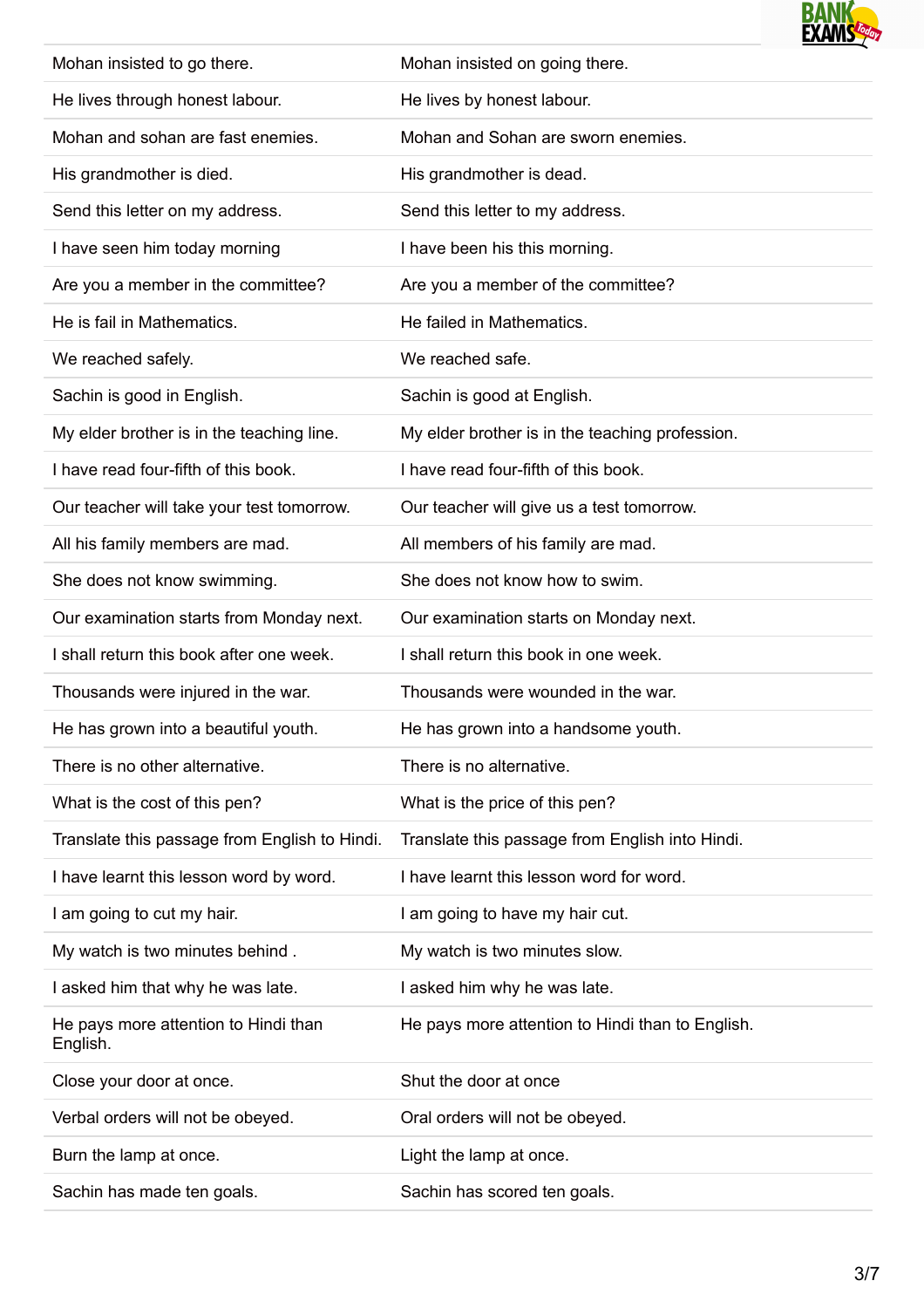

| Mohan insisted to go there.                      | Mohan insisted on going there.                   |
|--------------------------------------------------|--------------------------------------------------|
| He lives through honest labour.                  | He lives by honest labour.                       |
| Mohan and sohan are fast enemies.                | Mohan and Sohan are sworn enemies.               |
| His grandmother is died.                         | His grandmother is dead.                         |
| Send this letter on my address.                  | Send this letter to my address.                  |
| I have seen him today morning                    | I have been his this morning.                    |
| Are you a member in the committee?               | Are you a member of the committee?               |
| He is fail in Mathematics.                       | He failed in Mathematics.                        |
| We reached safely.                               | We reached safe.                                 |
| Sachin is good in English.                       | Sachin is good at English.                       |
| My elder brother is in the teaching line.        | My elder brother is in the teaching profession.  |
| I have read four-fifth of this book.             | I have read four-fifth of this book.             |
| Our teacher will take your test tomorrow.        | Our teacher will give us a test tomorrow.        |
| All his family members are mad.                  | All members of his family are mad.               |
| She does not know swimming.                      | She does not know how to swim.                   |
| Our examination starts from Monday next.         | Our examination starts on Monday next.           |
| I shall return this book after one week.         | I shall return this book in one week.            |
| Thousands were injured in the war.               | Thousands were wounded in the war.               |
| He has grown into a beautiful youth.             | He has grown into a handsome youth.              |
| There is no other alternative.                   | There is no alternative.                         |
| What is the cost of this pen?                    | What is the price of this pen?                   |
| Translate this passage from English to Hindi.    | Translate this passage from English into Hindi.  |
| I have learnt this lesson word by word.          | I have learnt this lesson word for word.         |
| I am going to cut my hair.                       | I am going to have my hair cut.                  |
| My watch is two minutes behind.                  | My watch is two minutes slow.                    |
| I asked him that why he was late.                | I asked him why he was late.                     |
| He pays more attention to Hindi than<br>English. | He pays more attention to Hindi than to English. |
| Close your door at once.                         | Shut the door at once                            |
| Verbal orders will not be obeyed.                | Oral orders will not be obeyed.                  |
| Burn the lamp at once.                           | Light the lamp at once.                          |
| Sachin has made ten goals.                       | Sachin has scored ten goals.                     |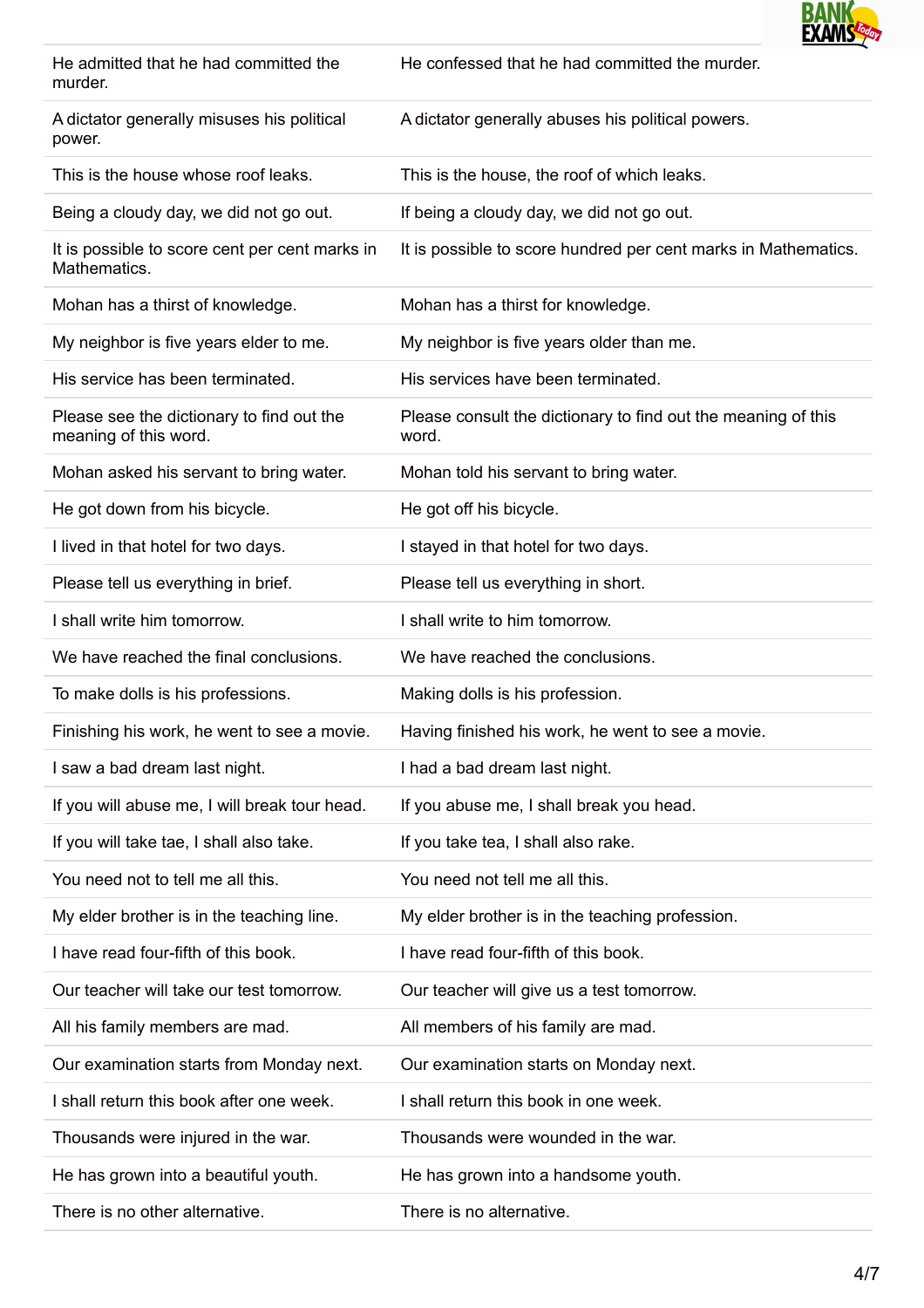

| He admitted that he had committed the<br>murder.                   | He confessed that he had committed the murder.                         |
|--------------------------------------------------------------------|------------------------------------------------------------------------|
| A dictator generally misuses his political<br>power.               | A dictator generally abuses his political powers.                      |
| This is the house whose roof leaks.                                | This is the house, the roof of which leaks.                            |
| Being a cloudy day, we did not go out.                             | If being a cloudy day, we did not go out.                              |
| It is possible to score cent per cent marks in<br>Mathematics.     | It is possible to score hundred per cent marks in Mathematics.         |
| Mohan has a thirst of knowledge.                                   | Mohan has a thirst for knowledge.                                      |
| My neighbor is five years elder to me.                             | My neighbor is five years older than me.                               |
| His service has been terminated.                                   | His services have been terminated.                                     |
| Please see the dictionary to find out the<br>meaning of this word. | Please consult the dictionary to find out the meaning of this<br>word. |
| Mohan asked his servant to bring water.                            | Mohan told his servant to bring water.                                 |
| He got down from his bicycle.                                      | He got off his bicycle.                                                |
| I lived in that hotel for two days.                                | I stayed in that hotel for two days.                                   |
| Please tell us everything in brief.                                | Please tell us everything in short.                                    |
| I shall write him tomorrow.                                        | I shall write to him tomorrow.                                         |
| We have reached the final conclusions.                             | We have reached the conclusions.                                       |
| To make dolls is his professions.                                  | Making dolls is his profession.                                        |
| Finishing his work, he went to see a movie.                        | Having finished his work, he went to see a movie.                      |
| I saw a bad dream last night.                                      | I had a bad dream last night.                                          |
| If you will abuse me, I will break tour head.                      | If you abuse me, I shall break you head.                               |
| If you will take tae, I shall also take.                           | If you take tea, I shall also rake.                                    |
| You need not to tell me all this.                                  | You need not tell me all this.                                         |
| My elder brother is in the teaching line.                          | My elder brother is in the teaching profession.                        |
| I have read four-fifth of this book.                               | I have read four-fifth of this book.                                   |
| Our teacher will take our test tomorrow.                           | Our teacher will give us a test tomorrow.                              |
| All his family members are mad.                                    | All members of his family are mad.                                     |
| Our examination starts from Monday next.                           | Our examination starts on Monday next.                                 |
| I shall return this book after one week.                           | I shall return this book in one week.                                  |
| Thousands were injured in the war.                                 | Thousands were wounded in the war.                                     |
| He has grown into a beautiful youth.                               | He has grown into a handsome youth.                                    |
| There is no other alternative.                                     | There is no alternative.                                               |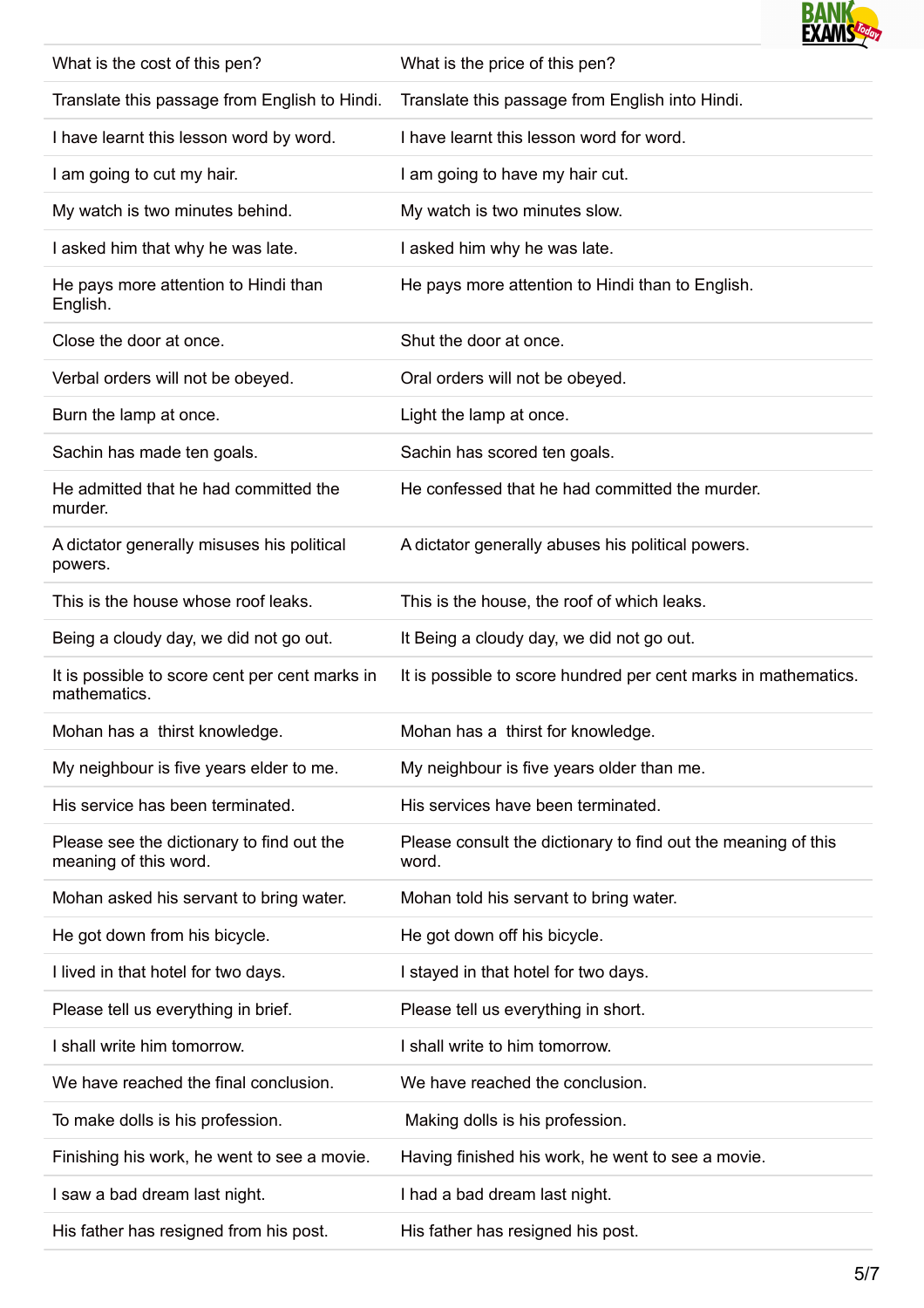

| What is the cost of this pen?                                      | What is the price of this pen?                                         |
|--------------------------------------------------------------------|------------------------------------------------------------------------|
| Translate this passage from English to Hindi.                      | Translate this passage from English into Hindi.                        |
| I have learnt this lesson word by word.                            | I have learnt this lesson word for word.                               |
| I am going to cut my hair.                                         | I am going to have my hair cut.                                        |
| My watch is two minutes behind.                                    | My watch is two minutes slow.                                          |
| I asked him that why he was late.                                  | I asked him why he was late.                                           |
| He pays more attention to Hindi than<br>English.                   | He pays more attention to Hindi than to English.                       |
| Close the door at once.                                            | Shut the door at once.                                                 |
| Verbal orders will not be obeyed.                                  | Oral orders will not be obeyed.                                        |
| Burn the lamp at once.                                             | Light the lamp at once.                                                |
| Sachin has made ten goals.                                         | Sachin has scored ten goals.                                           |
| He admitted that he had committed the<br>murder.                   | He confessed that he had committed the murder.                         |
| A dictator generally misuses his political<br>powers.              | A dictator generally abuses his political powers.                      |
| This is the house whose roof leaks.                                | This is the house, the roof of which leaks.                            |
| Being a cloudy day, we did not go out.                             | It Being a cloudy day, we did not go out.                              |
| It is possible to score cent per cent marks in<br>mathematics.     | It is possible to score hundred per cent marks in mathematics.         |
| Mohan has a thirst knowledge.                                      | Mohan has a thirst for knowledge.                                      |
| My neighbour is five years elder to me.                            | My neighbour is five years older than me.                              |
| His service has been terminated.                                   | His services have been terminated.                                     |
| Please see the dictionary to find out the<br>meaning of this word. | Please consult the dictionary to find out the meaning of this<br>word. |
| Mohan asked his servant to bring water.                            | Mohan told his servant to bring water.                                 |
| He got down from his bicycle.                                      | He got down off his bicycle.                                           |
| I lived in that hotel for two days.                                | I stayed in that hotel for two days.                                   |
| Please tell us everything in brief.                                | Please tell us everything in short.                                    |
| I shall write him tomorrow.                                        | I shall write to him tomorrow.                                         |
| We have reached the final conclusion.                              | We have reached the conclusion.                                        |
| To make dolls is his profession.                                   | Making dolls is his profession.                                        |
| Finishing his work, he went to see a movie.                        | Having finished his work, he went to see a movie.                      |
| I saw a bad dream last night.                                      | I had a bad dream last night.                                          |
| His father has resigned from his post.                             | His father has resigned his post.                                      |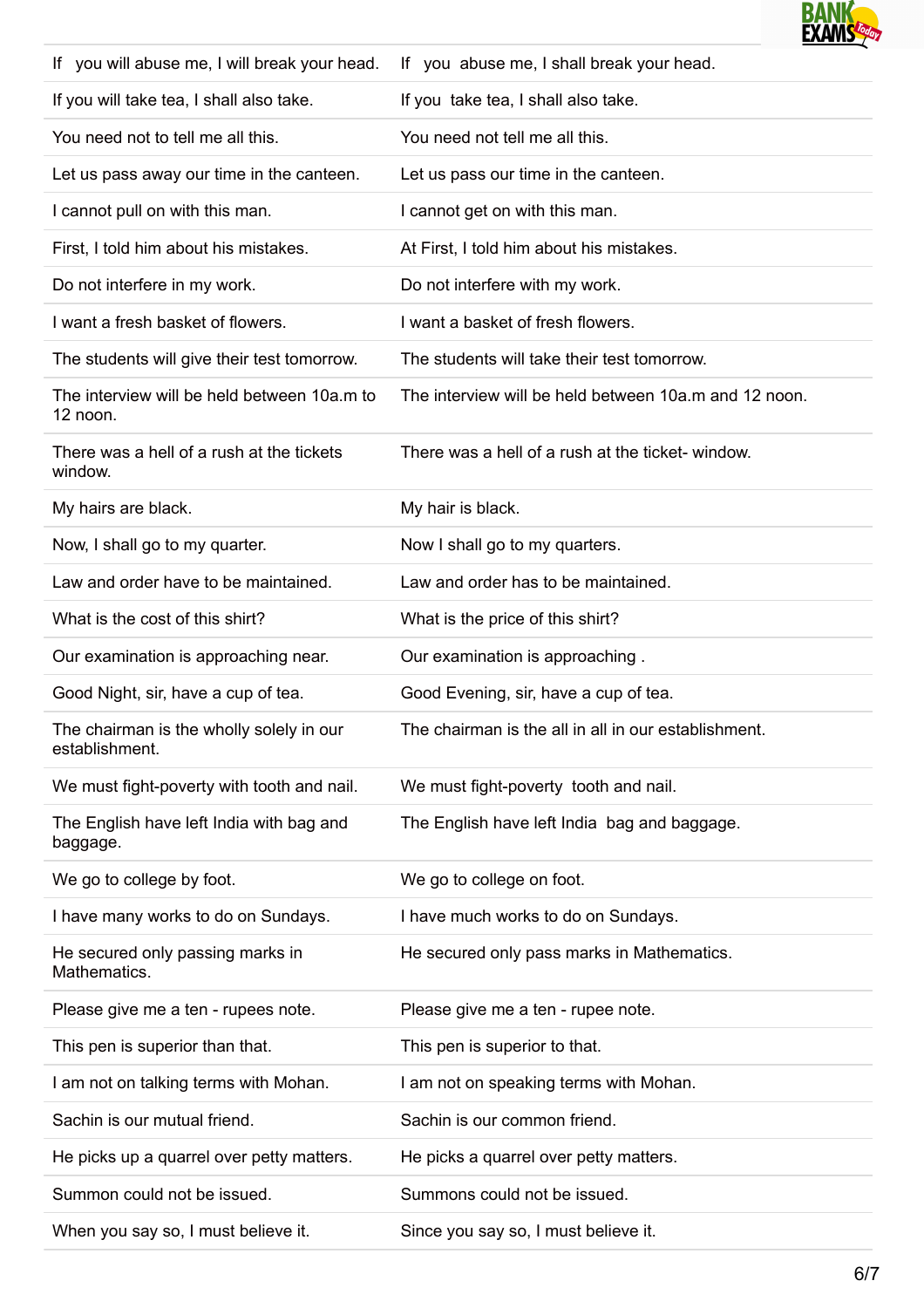

| If you will abuse me, I will break your head.              | If you abuse me, I shall break your head.             |
|------------------------------------------------------------|-------------------------------------------------------|
| If you will take tea, I shall also take.                   | If you take tea, I shall also take.                   |
| You need not to tell me all this.                          | You need not tell me all this.                        |
| Let us pass away our time in the canteen.                  | Let us pass our time in the canteen.                  |
| I cannot pull on with this man.                            | I cannot get on with this man.                        |
| First, I told him about his mistakes.                      | At First, I told him about his mistakes.              |
| Do not interfere in my work.                               | Do not interfere with my work.                        |
| I want a fresh basket of flowers.                          | I want a basket of fresh flowers.                     |
| The students will give their test tomorrow.                | The students will take their test tomorrow.           |
| The interview will be held between 10a.m to<br>12 noon.    | The interview will be held between 10a.m and 12 noon. |
| There was a hell of a rush at the tickets<br>window.       | There was a hell of a rush at the ticket-window.      |
| My hairs are black.                                        | My hair is black.                                     |
| Now, I shall go to my quarter.                             | Now I shall go to my quarters.                        |
| Law and order have to be maintained.                       | Law and order has to be maintained.                   |
| What is the cost of this shirt?                            | What is the price of this shirt?                      |
| Our examination is approaching near.                       | Our examination is approaching.                       |
| Good Night, sir, have a cup of tea.                        | Good Evening, sir, have a cup of tea.                 |
| The chairman is the wholly solely in our<br>establishment. | The chairman is the all in all in our establishment.  |
| We must fight-poverty with tooth and nail.                 | We must fight-poverty tooth and nail.                 |
| The English have left India with bag and<br>baggage.       | The English have left India bag and baggage.          |
| We go to college by foot.                                  | We go to college on foot.                             |
| I have many works to do on Sundays.                        | I have much works to do on Sundays.                   |
| He secured only passing marks in<br>Mathematics.           | He secured only pass marks in Mathematics.            |
| Please give me a ten - rupees note.                        | Please give me a ten - rupee note.                    |
| This pen is superior than that.                            | This pen is superior to that.                         |
| I am not on talking terms with Mohan.                      | I am not on speaking terms with Mohan.                |
| Sachin is our mutual friend.                               | Sachin is our common friend.                          |
| He picks up a quarrel over petty matters.                  | He picks a quarrel over petty matters.                |
| Summon could not be issued.                                | Summons could not be issued.                          |
| When you say so, I must believe it.                        | Since you say so, I must believe it.                  |